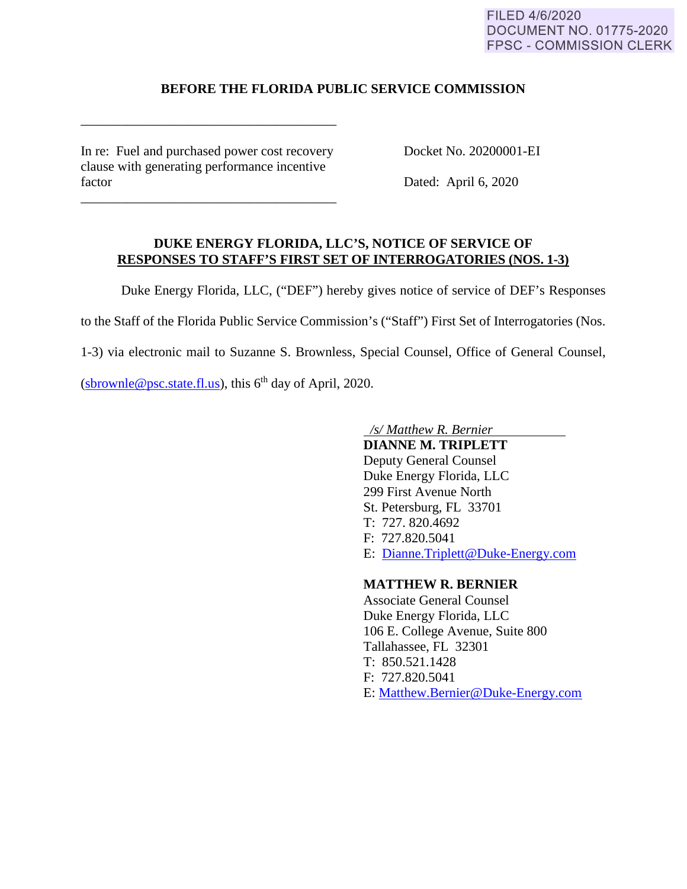### FILED 4/6/2020 **DOCUMENT NO. 01775-2020 FPSC - COMMISSION CLERK**

# **BEFORE THE FLORIDA PUBLIC SERVICE COMMISSION**

In re: Fuel and purchased power cost recovery Docket No. 20200001-EI clause with generating performance incentive factor Dated: April 6, 2020

\_\_\_\_\_\_\_\_\_\_\_\_\_\_\_\_\_\_\_\_\_\_\_\_\_\_\_\_\_\_\_\_\_\_\_\_\_\_

\_\_\_\_\_\_\_\_\_\_\_\_\_\_\_\_\_\_\_\_\_\_\_\_\_\_\_\_\_\_\_\_\_\_\_\_\_\_

### **DUKE ENERGY FLORIDA, LLC'S, NOTICE OF SERVICE OF RESPONSES TO STAFF'S FIRST SET OF INTERROGATORIES (NOS. 1-3)**

Duke Energy Florida, LLC, ("DEF") hereby gives notice of service of DEF's Responses

to the Staff of the Florida Public Service Commission's ("Staff") First Set of Interrogatories (Nos.

1-3) via electronic mail to Suzanne S. Brownless, Special Counsel, Office of General Counsel,

(sbrownle@psc.state.fl.us), this  $6<sup>th</sup>$  day of April, 2020.

*/s/ Matthew R. Bernier* 

 **DIANNE M. TRIPLETT** Deputy General Counsel Duke Energy Florida, LLC 299 First Avenue North St. Petersburg, FL 33701 T: 727. 820.4692 F: 727.820.5041 E: Dianne.Triplett@Duke-Energy.com

## **MATTHEW R. BERNIER**

 Associate General Counsel Duke Energy Florida, LLC 106 E. College Avenue, Suite 800 Tallahassee, FL 32301 T: 850.521.1428 F: 727.820.5041 E: Matthew.Bernier@Duke-Energy.com